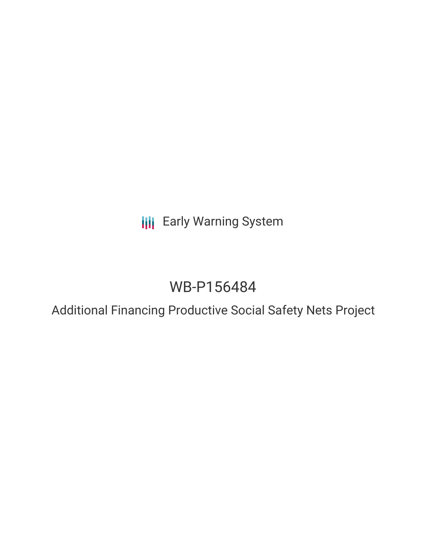**III** Early Warning System

# WB-P156484

Additional Financing Productive Social Safety Nets Project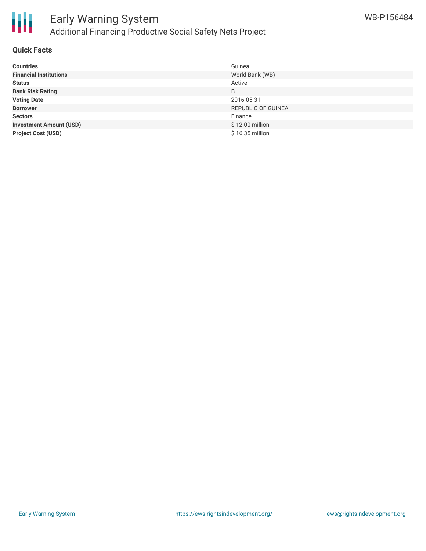

### **Quick Facts**

| <b>Countries</b>               | Guinea                    |
|--------------------------------|---------------------------|
| <b>Financial Institutions</b>  | World Bank (WB)           |
| <b>Status</b>                  | Active                    |
| <b>Bank Risk Rating</b>        | B                         |
| <b>Voting Date</b>             | 2016-05-31                |
| <b>Borrower</b>                | <b>REPUBLIC OF GUINEA</b> |
| <b>Sectors</b>                 | Finance                   |
| <b>Investment Amount (USD)</b> | \$12.00 million           |
| <b>Project Cost (USD)</b>      | \$16.35 million           |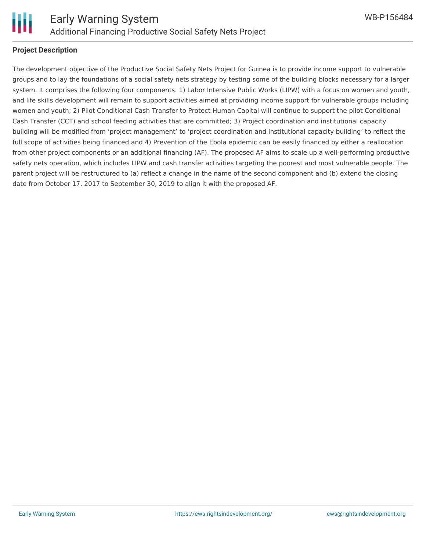

#### **Project Description**

The development objective of the Productive Social Safety Nets Project for Guinea is to provide income support to vulnerable groups and to lay the foundations of a social safety nets strategy by testing some of the building blocks necessary for a larger system. It comprises the following four components. 1) Labor Intensive Public Works (LIPW) with a focus on women and youth, and life skills development will remain to support activities aimed at providing income support for vulnerable groups including women and youth; 2) Pilot Conditional Cash Transfer to Protect Human Capital will continue to support the pilot Conditional Cash Transfer (CCT) and school feeding activities that are committed; 3) Project coordination and institutional capacity building will be modified from 'project management' to 'project coordination and institutional capacity building' to reflect the full scope of activities being financed and 4) Prevention of the Ebola epidemic can be easily financed by either a reallocation from other project components or an additional financing (AF). The proposed AF aims to scale up a well-performing productive safety nets operation, which includes LIPW and cash transfer activities targeting the poorest and most vulnerable people. The parent project will be restructured to (a) reflect a change in the name of the second component and (b) extend the closing date from October 17, 2017 to September 30, 2019 to align it with the proposed AF.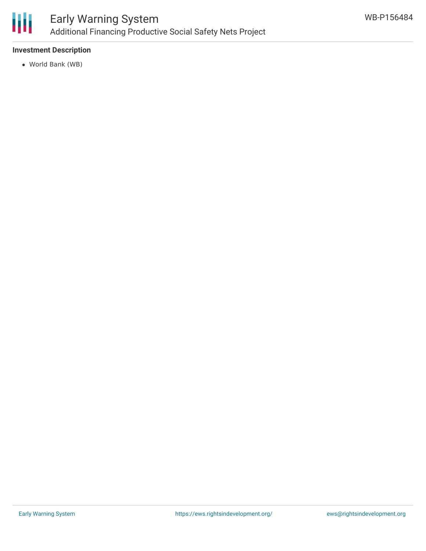

# **Investment Description**

World Bank (WB)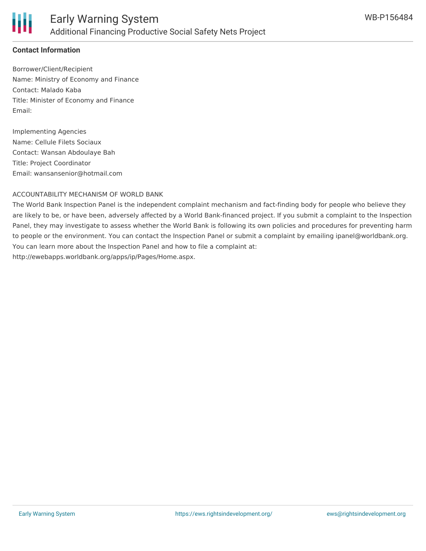

# **Contact Information**

Borrower/Client/Recipient Name: Ministry of Economy and Finance Contact: Malado Kaba Title: Minister of Economy and Finance Email:

Implementing Agencies Name: Cellule Filets Sociaux Contact: Wansan Abdoulaye Bah Title: Project Coordinator Email: wansansenior@hotmail.com

#### ACCOUNTABILITY MECHANISM OF WORLD BANK

The World Bank Inspection Panel is the independent complaint mechanism and fact-finding body for people who believe they are likely to be, or have been, adversely affected by a World Bank-financed project. If you submit a complaint to the Inspection Panel, they may investigate to assess whether the World Bank is following its own policies and procedures for preventing harm to people or the environment. You can contact the Inspection Panel or submit a complaint by emailing ipanel@worldbank.org. You can learn more about the Inspection Panel and how to file a complaint at: http://ewebapps.worldbank.org/apps/ip/Pages/Home.aspx.